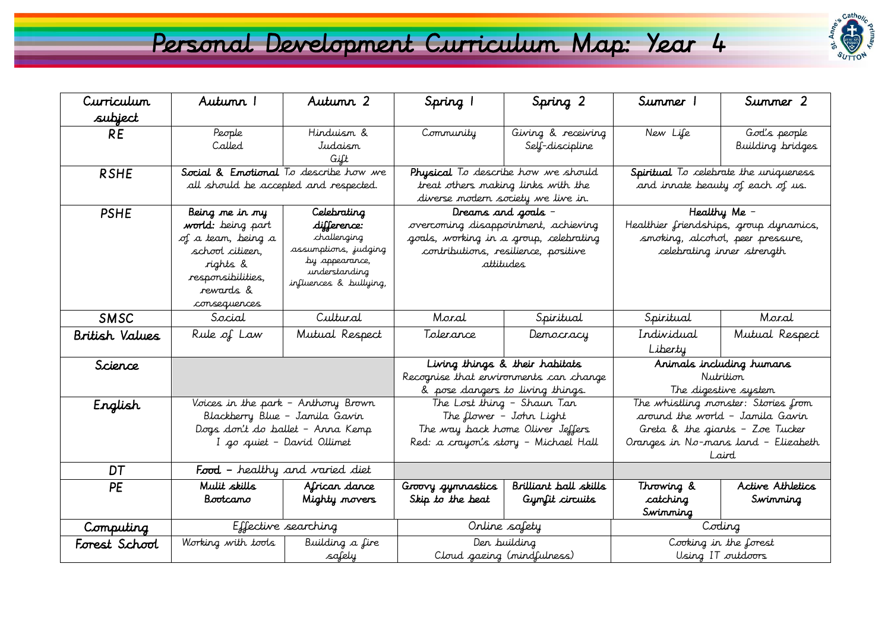## Personal Development Curriculum Map: Year 4



| Curriculum            | Autumn 1                                                           | Autumn 2                               | Spring 1                                              | Spring 2                              | Summer 1                                                               | Summer 2                         |
|-----------------------|--------------------------------------------------------------------|----------------------------------------|-------------------------------------------------------|---------------------------------------|------------------------------------------------------------------------|----------------------------------|
| subject               |                                                                    |                                        |                                                       |                                       |                                                                        |                                  |
| <b>RE</b>             | People<br>Called                                                   | Hinduism &<br>Judaism<br>Gift          | Community                                             | Giving & receiving<br>Self-discipline | New Life                                                               | God's people<br>Building bridges |
| <b>RSHE</b>           | Social & Emotional To describe how we                              |                                        | Physical To describe how we should                    |                                       | Spiritual To celebrate the uniqueness                                  |                                  |
|                       | all should be accepted and respected.                              |                                        | treat others making links with the                    |                                       | and innate beauty of each of us.                                       |                                  |
|                       |                                                                    |                                        | diverse modern society we live in.                    |                                       |                                                                        |                                  |
| <b>PSHE</b>           | Being me in my                                                     | Celebrating                            | Dreams and goals -                                    |                                       | Healthy Me -                                                           |                                  |
|                       | <b>world:</b> being part                                           | difference:                            | overcoming disappointment, achieving                  |                                       | Healthier friendships, group dynamics,                                 |                                  |
|                       | of a team, being a                                                 | challenging                            | goals, working in a group, celebrating                |                                       | smoking, alcohol, peer pressure,                                       |                                  |
|                       | school citizen,                                                    | assumptions, judging<br>by appearance, | contributions, resilience, positive                   |                                       | celebrating inner strength                                             |                                  |
|                       | rights &                                                           | understanding                          | attitudes                                             |                                       |                                                                        |                                  |
|                       | responsibilities,                                                  | influences & bullying,                 |                                                       |                                       |                                                                        |                                  |
|                       | rewards &                                                          |                                        |                                                       |                                       |                                                                        |                                  |
| SMSC                  | consequences<br>Social                                             | Cultural                               | Moral                                                 | Spiritual                             | Spiritual                                                              | Moral                            |
|                       |                                                                    |                                        |                                                       |                                       |                                                                        |                                  |
| <b>British Values</b> | Rule of Law                                                        | Mutual Respect                         | Tolerance                                             | Democracy                             | Individual                                                             | Mutual Respect                   |
|                       |                                                                    |                                        |                                                       |                                       | Liberty                                                                |                                  |
| Science               |                                                                    |                                        | Living things & their habitats                        |                                       | Animals including humans                                               |                                  |
|                       |                                                                    |                                        | Recognise that ervironments can change                |                                       | Nutrition                                                              |                                  |
|                       |                                                                    |                                        | & pose dangers to living things.                      |                                       | The digestive system                                                   |                                  |
| English               | Voices in the park – Anthony Brown                                 |                                        | The Lost thing - Shaun Tan<br>The flower - John Light |                                       | The whistling monster: Stories from<br>around the world - Jamila Gavin |                                  |
|                       | Blackberry Blue – Jamila Gavin<br>Dogs don't do ballet – Anna Kemp |                                        | The way back home Oliver Jeffers                      |                                       | Greta & the giants - Zoe Tucker                                        |                                  |
|                       |                                                                    | I go quiet – David Ollimet             | Red: a crayon's story – Michael Hall                  |                                       | Oranges in No-mans land – Elizabeth                                    |                                  |
|                       |                                                                    |                                        |                                                       |                                       | Laird                                                                  |                                  |
| DT                    | Food - healthy and varied diet                                     |                                        |                                                       |                                       |                                                                        |                                  |
| <b>PE</b>             | Mulit skills                                                       | African dance                          | Groovy gymnastics                                     | Brilliant ball skills                 | Throwing &                                                             | Active Athletics                 |
|                       | Bootcamo                                                           | Mighty movers                          | Skip to the beat                                      | Gymfit circuits                       | catching                                                               | Swimming                         |
|                       |                                                                    |                                        |                                                       |                                       | Swimming                                                               |                                  |
| Computing             | Effective searching                                                |                                        | Online safety                                         |                                       | Coding                                                                 |                                  |
| Forest School         | Working with tools                                                 | Building a fire                        | Den building                                          |                                       | Cooking in the forest                                                  |                                  |
|                       |                                                                    | safely                                 |                                                       | Cloud gazing (mindfulness)            |                                                                        | Using IT outdoors                |